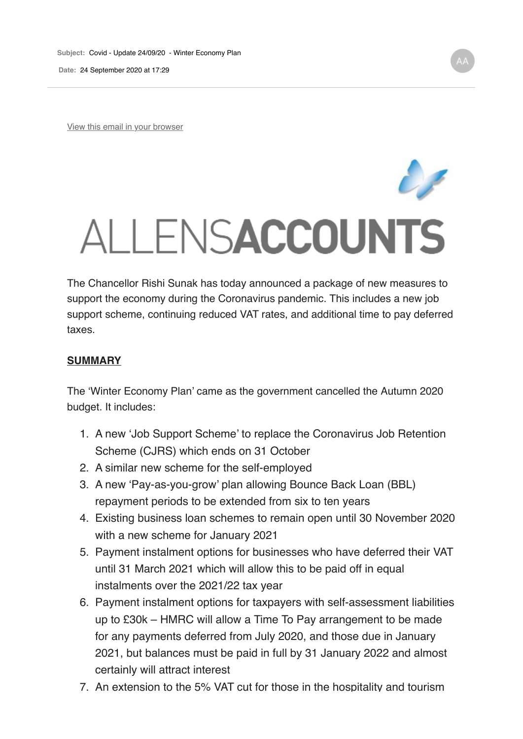**Date:** 24 September 2020 at 17:29

View this email in your browser

# ALLENSACCOUNTS

The Chancellor Rishi Sunak has today announced a package of new measures to support the economy during the Coronavirus pandemic. This includes a new job support scheme, continuing reduced VAT rates, and additional time to pay deferred taxes.

#### **SUMMARY**

The 'Winter Economy Plan' came as the government cancelled the Autumn 2020 budget. It includes:

- 1. A new 'Job Support Scheme' to replace the Coronavirus Job Retention Scheme (CJRS) which ends on 31 October
- 2. A similar new scheme for the self-employed
- 3. A new 'Pay-as-you-grow' plan allowing Bounce Back Loan (BBL) repayment periods to be extended from six to ten years
- 4. Existing business loan schemes to remain open until 30 November 2020 with a new scheme for January 2021
- 5. Payment instalment options for businesses who have deferred their VAT until 31 March 2021 which will allow this to be paid off in equal instalments over the 2021/22 tax year
- 6. Payment instalment options for taxpayers with self-assessment liabilities up to £30k – HMRC will allow a Time To Pay arrangement to be made for any payments deferred from July 2020, and those due in January 2021, but balances must be paid in full by 31 January 2022 and almost certainly will attract interest
- 7. An extension to the 5% VAT cut for those in the hospitality and tourism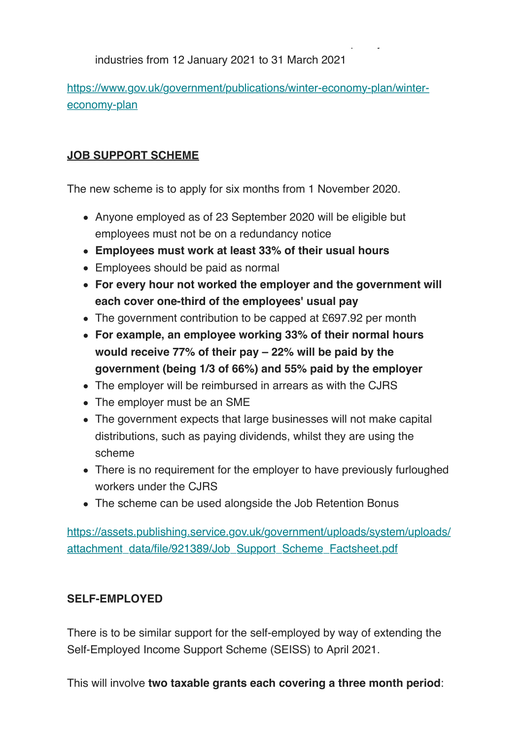industries from 12 January 2021 to 31 March 2021

https://www.gov.uk/government/publications/winter-economy-plan/wintereconomy-plan

7. An extension to the 5% VAT cut for those in the hospitality and tourism

## **JOB SUPPORT SCHEME**

The new scheme is to apply for six months from 1 November 2020.

- Anyone employed as of 23 September 2020 will be eligible but employees must not be on a redundancy notice
- **Employees must work at least 33% of their usual hours**
- Employees should be paid as normal
- **For every hour not worked the employer and the government will each cover one-third of the employees' usual pay**
- The government contribution to be capped at £697.92 per month
- **For example, an employee working 33% of their normal hours would receive 77% of their pay – 22% will be paid by the government (being 1/3 of 66%) and 55% paid by the employer**
- The employer will be reimbursed in arrears as with the CJRS
- The employer must be an SME
- The government expects that large businesses will not make capital distributions, such as paying dividends, whilst they are using the scheme
- There is no requirement for the employer to have previously furloughed workers under the CJRS
- The scheme can be used alongside the Job Retention Bonus

https://assets.publishing.service.gov.uk/government/uploads/system/uploads/ attachment\_data/file/921389/Job\_Support\_Scheme\_Factsheet.pdf

### **SELF-EMPLOYED**

There is to be similar support for the self-employed by way of extending the Self-Employed Income Support Scheme (SEISS) to April 2021.

This will involve **two taxable grants each covering a three month period**: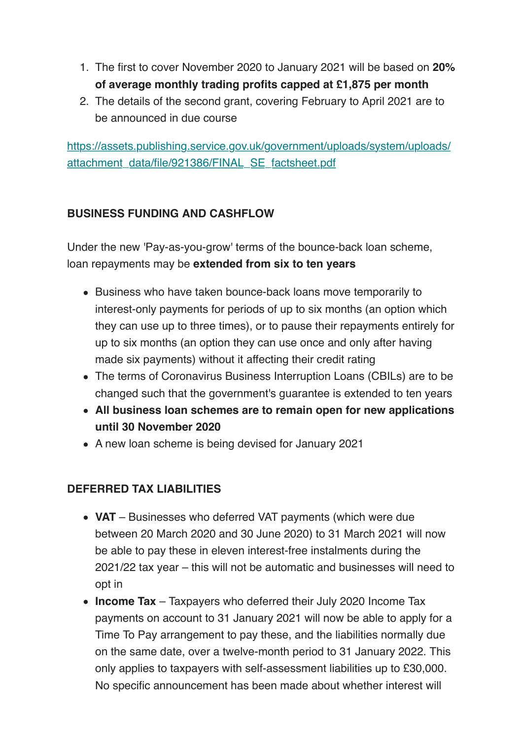- 1. The first to cover November 2020 to January 2021 will be based on **20% of average monthly trading profits capped at £1,875 per month**
- 2. The details of the second grant, covering February to April 2021 are to be announced in due course

https://assets.publishing.service.gov.uk/government/uploads/system/uploads/ attachment\_data/file/921386/FINAL\_SE\_factsheet.pdf

## **BUSINESS FUNDING AND CASHFLOW**

Under the new 'Pay-as-you-grow' terms of the bounce-back loan scheme, loan repayments may be **extended from six to ten years**

- Business who have taken bounce-back loans move temporarily to interest-only payments for periods of up to six months (an option which they can use up to three times), or to pause their repayments entirely for up to six months (an option they can use once and only after having made six payments) without it affecting their credit rating
- The terms of Coronavirus Business Interruption Loans (CBILs) are to be changed such that the government's guarantee is extended to ten years
- **All business loan schemes are to remain open for new applications until 30 November 2020**
- A new loan scheme is being devised for January 2021

## **DEFERRED TAX LIABILITIES**

- **VAT** Businesses who deferred VAT payments (which were due between 20 March 2020 and 30 June 2020) to 31 March 2021 will now be able to pay these in eleven interest-free instalments during the 2021/22 tax year – this will not be automatic and businesses will need to opt in
- **Income Tax** Taxpayers who deferred their July 2020 Income Tax payments on account to 31 January 2021 will now be able to apply for a Time To Pay arrangement to pay these, and the liabilities normally due on the same date, over a twelve-month period to 31 January 2022. This only applies to taxpayers with self-assessment liabilities up to £30,000. No specific announcement has been made about whether interest will